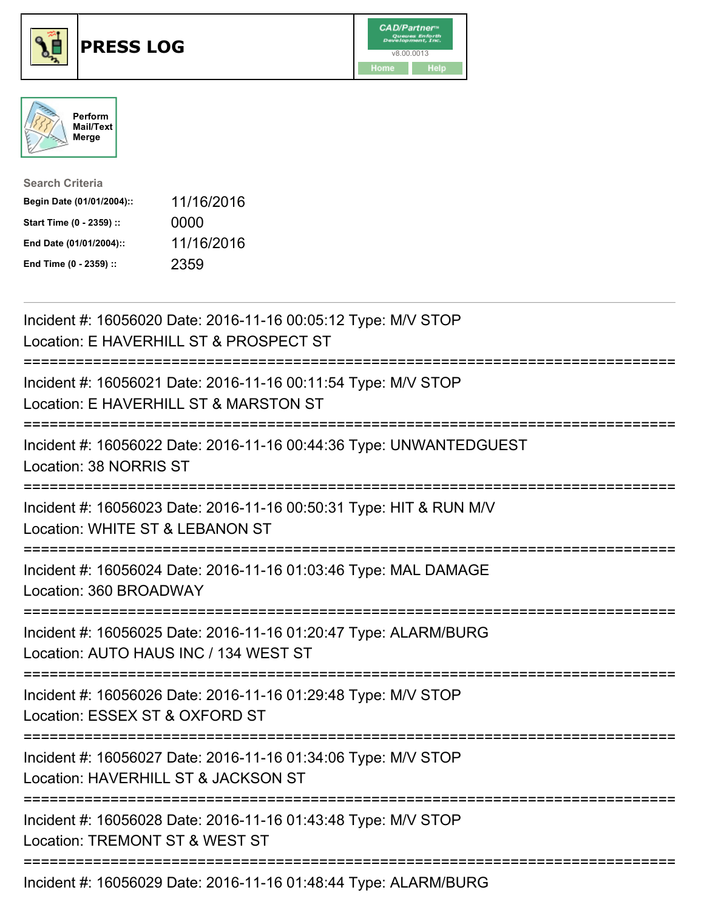





| <b>Search Criteria</b>    |            |
|---------------------------|------------|
| Begin Date (01/01/2004):: | 11/16/2016 |
| Start Time (0 - 2359) ::  | 0000       |
| End Date (01/01/2004)::   | 11/16/2016 |
| End Time (0 - 2359) ::    | 2359       |

| Incident #: 16056020 Date: 2016-11-16 00:05:12 Type: M/V STOP<br>Location: E HAVERHILL ST & PROSPECT ST                                              |
|------------------------------------------------------------------------------------------------------------------------------------------------------|
| Incident #: 16056021 Date: 2016-11-16 00:11:54 Type: M/V STOP<br>Location: E HAVERHILL ST & MARSTON ST                                               |
| Incident #: 16056022 Date: 2016-11-16 00:44:36 Type: UNWANTEDGUEST<br>Location: 38 NORRIS ST<br>--------------                                       |
| Incident #: 16056023 Date: 2016-11-16 00:50:31 Type: HIT & RUN M/V<br>Location: WHITE ST & LEBANON ST<br>;==============<br>------------------------ |
| Incident #: 16056024 Date: 2016-11-16 01:03:46 Type: MAL DAMAGE<br>Location: 360 BROADWAY                                                            |
| Incident #: 16056025 Date: 2016-11-16 01:20:47 Type: ALARM/BURG<br>Location: AUTO HAUS INC / 134 WEST ST<br>:===========================             |
| Incident #: 16056026 Date: 2016-11-16 01:29:48 Type: M/V STOP<br>Location: ESSEX ST & OXFORD ST                                                      |
| Incident #: 16056027 Date: 2016-11-16 01:34:06 Type: M/V STOP<br>Location: HAVERHILL ST & JACKSON ST<br>;=============================               |
| Incident #: 16056028 Date: 2016-11-16 01:43:48 Type: M/V STOP<br>Location: TREMONT ST & WEST ST                                                      |
| Incident #: 16056029 Date: 2016-11-16 01:48:44 Type: ALARM/BURG                                                                                      |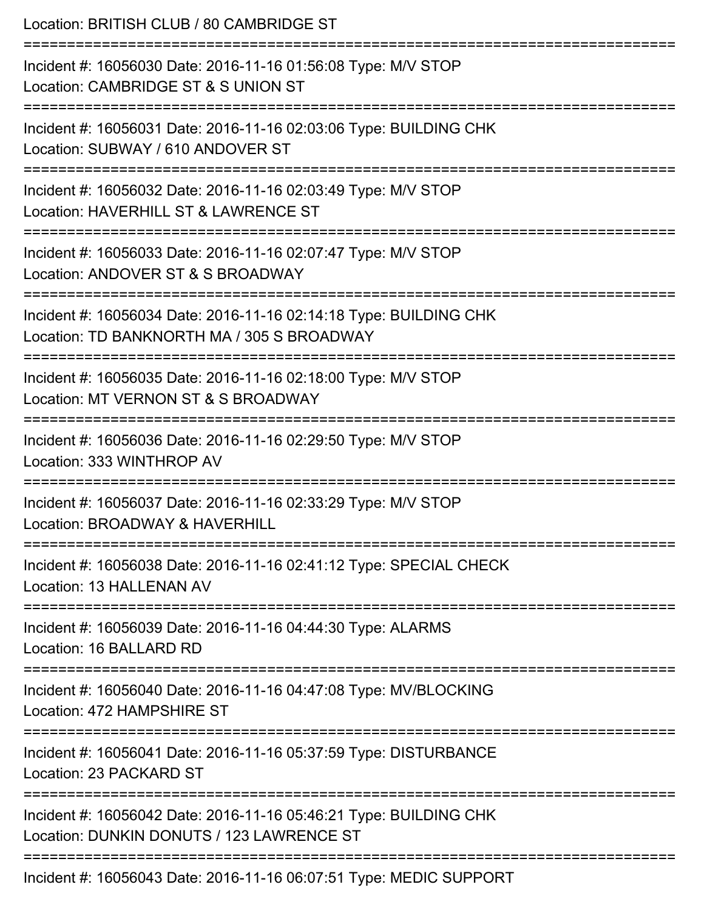| Location: BRITISH CLUB / 80 CAMBRIDGE ST                                                                                                      |
|-----------------------------------------------------------------------------------------------------------------------------------------------|
| Incident #: 16056030 Date: 2016-11-16 01:56:08 Type: M/V STOP<br>Location: CAMBRIDGE ST & S UNION ST                                          |
| Incident #: 16056031 Date: 2016-11-16 02:03:06 Type: BUILDING CHK<br>Location: SUBWAY / 610 ANDOVER ST                                        |
| ====================================<br>Incident #: 16056032 Date: 2016-11-16 02:03:49 Type: M/V STOP<br>Location: HAVERHILL ST & LAWRENCE ST |
| Incident #: 16056033 Date: 2016-11-16 02:07:47 Type: M/V STOP<br>Location: ANDOVER ST & S BROADWAY                                            |
| Incident #: 16056034 Date: 2016-11-16 02:14:18 Type: BUILDING CHK<br>Location: TD BANKNORTH MA / 305 S BROADWAY                               |
| :======================<br>Incident #: 16056035 Date: 2016-11-16 02:18:00 Type: M/V STOP<br>Location: MT VERNON ST & S BROADWAY               |
| Incident #: 16056036 Date: 2016-11-16 02:29:50 Type: M/V STOP<br>Location: 333 WINTHROP AV                                                    |
| Incident #: 16056037 Date: 2016-11-16 02:33:29 Type: M/V STOP<br>Location: BROADWAY & HAVERHILL                                               |
| Incident #: 16056038 Date: 2016-11-16 02:41:12 Type: SPECIAL CHECK<br>Location: 13 HALLENAN AV                                                |
| Incident #: 16056039 Date: 2016-11-16 04:44:30 Type: ALARMS<br>Location: 16 BALLARD RD                                                        |
| Incident #: 16056040 Date: 2016-11-16 04:47:08 Type: MV/BLOCKING<br>Location: 472 HAMPSHIRE ST                                                |
| Incident #: 16056041 Date: 2016-11-16 05:37:59 Type: DISTURBANCE<br>Location: 23 PACKARD ST                                                   |
| Incident #: 16056042 Date: 2016-11-16 05:46:21 Type: BUILDING CHK<br>Location: DUNKIN DONUTS / 123 LAWRENCE ST                                |
| Incident #: 16056043 Date: 2016-11-16 06:07:51 Type: MEDIC SUPPORT                                                                            |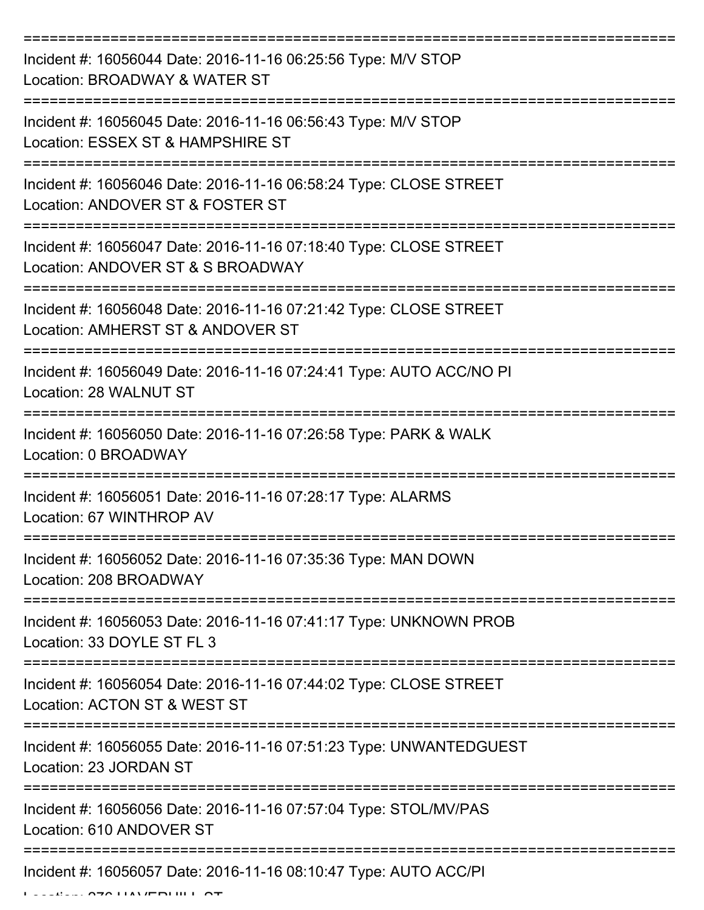| Incident #: 16056044 Date: 2016-11-16 06:25:56 Type: M/V STOP<br>Location: BROADWAY & WATER ST         |
|--------------------------------------------------------------------------------------------------------|
| Incident #: 16056045 Date: 2016-11-16 06:56:43 Type: M/V STOP<br>Location: ESSEX ST & HAMPSHIRE ST     |
| Incident #: 16056046 Date: 2016-11-16 06:58:24 Type: CLOSE STREET<br>Location: ANDOVER ST & FOSTER ST  |
| Incident #: 16056047 Date: 2016-11-16 07:18:40 Type: CLOSE STREET<br>Location: ANDOVER ST & S BROADWAY |
| Incident #: 16056048 Date: 2016-11-16 07:21:42 Type: CLOSE STREET<br>Location: AMHERST ST & ANDOVER ST |
| Incident #: 16056049 Date: 2016-11-16 07:24:41 Type: AUTO ACC/NO PI<br>Location: 28 WALNUT ST          |
| Incident #: 16056050 Date: 2016-11-16 07:26:58 Type: PARK & WALK<br>Location: 0 BROADWAY               |
| Incident #: 16056051 Date: 2016-11-16 07:28:17 Type: ALARMS<br>Location: 67 WINTHROP AV                |
| Incident #: 16056052 Date: 2016-11-16 07:35:36 Type: MAN DOWN<br>Location: 208 BROADWAY                |
| Incident #: 16056053 Date: 2016-11-16 07:41:17 Type: UNKNOWN PROB<br>Location: 33 DOYLE ST FL 3        |
| Incident #: 16056054 Date: 2016-11-16 07:44:02 Type: CLOSE STREET<br>Location: ACTON ST & WEST ST      |
| Incident #: 16056055 Date: 2016-11-16 07:51:23 Type: UNWANTEDGUEST<br>Location: 23 JORDAN ST           |
| Incident #: 16056056 Date: 2016-11-16 07:57:04 Type: STOL/MV/PAS<br>Location: 610 ANDOVER ST           |
| Incident #: 16056057 Date: 2016-11-16 08:10:47 Type: AUTO ACC/PI                                       |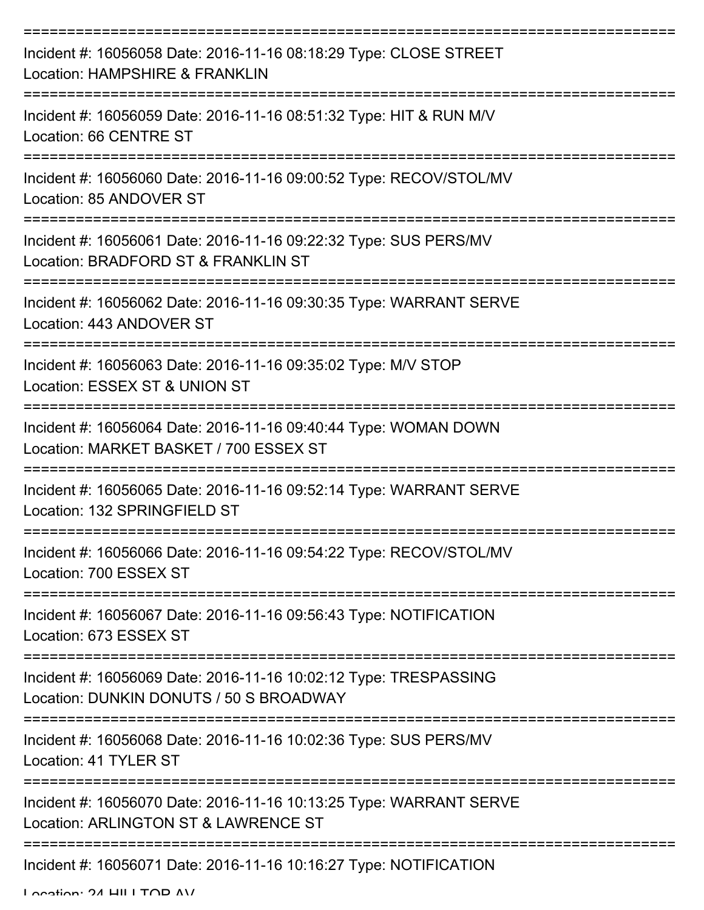| Incident #: 16056058 Date: 2016-11-16 08:18:29 Type: CLOSE STREET<br>Location: HAMPSHIRE & FRANKLIN         |
|-------------------------------------------------------------------------------------------------------------|
| Incident #: 16056059 Date: 2016-11-16 08:51:32 Type: HIT & RUN M/V<br>Location: 66 CENTRE ST                |
| Incident #: 16056060 Date: 2016-11-16 09:00:52 Type: RECOV/STOL/MV<br>Location: 85 ANDOVER ST               |
| Incident #: 16056061 Date: 2016-11-16 09:22:32 Type: SUS PERS/MV<br>Location: BRADFORD ST & FRANKLIN ST     |
| Incident #: 16056062 Date: 2016-11-16 09:30:35 Type: WARRANT SERVE<br>Location: 443 ANDOVER ST              |
| Incident #: 16056063 Date: 2016-11-16 09:35:02 Type: M/V STOP<br>Location: ESSEX ST & UNION ST              |
| Incident #: 16056064 Date: 2016-11-16 09:40:44 Type: WOMAN DOWN<br>Location: MARKET BASKET / 700 ESSEX ST   |
| Incident #: 16056065 Date: 2016-11-16 09:52:14 Type: WARRANT SERVE<br>Location: 132 SPRINGFIELD ST          |
| Incident #: 16056066 Date: 2016-11-16 09:54:22 Type: RECOV/STOL/MV<br>Location: 700 ESSEX ST                |
| Incident #: 16056067 Date: 2016-11-16 09:56:43 Type: NOTIFICATION<br>Location: 673 ESSEX ST                 |
| Incident #: 16056069 Date: 2016-11-16 10:02:12 Type: TRESPASSING<br>Location: DUNKIN DONUTS / 50 S BROADWAY |
| Incident #: 16056068 Date: 2016-11-16 10:02:36 Type: SUS PERS/MV<br>Location: 41 TYLER ST                   |
| Incident #: 16056070 Date: 2016-11-16 10:13:25 Type: WARRANT SERVE<br>Location: ARLINGTON ST & LAWRENCE ST  |
| Incident #: 16056071 Date: 2016-11-16 10:16:27 Type: NOTIFICATION                                           |

Location: 24 HILLTOP AV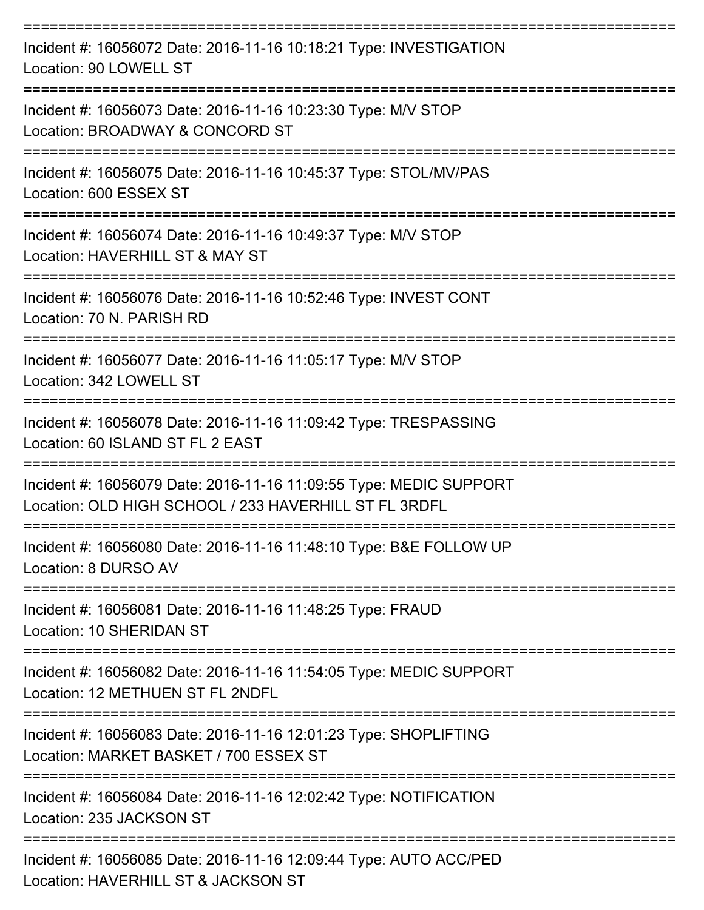| Incident #: 16056072 Date: 2016-11-16 10:18:21 Type: INVESTIGATION<br>Location: 90 LOWELL ST                                |
|-----------------------------------------------------------------------------------------------------------------------------|
| Incident #: 16056073 Date: 2016-11-16 10:23:30 Type: M/V STOP<br>Location: BROADWAY & CONCORD ST                            |
| Incident #: 16056075 Date: 2016-11-16 10:45:37 Type: STOL/MV/PAS<br>Location: 600 ESSEX ST                                  |
| Incident #: 16056074 Date: 2016-11-16 10:49:37 Type: M/V STOP<br>Location: HAVERHILL ST & MAY ST                            |
| Incident #: 16056076 Date: 2016-11-16 10:52:46 Type: INVEST CONT<br>Location: 70 N. PARISH RD                               |
| Incident #: 16056077 Date: 2016-11-16 11:05:17 Type: M/V STOP<br>Location: 342 LOWELL ST                                    |
| Incident #: 16056078 Date: 2016-11-16 11:09:42 Type: TRESPASSING<br>Location: 60 ISLAND ST FL 2 EAST                        |
| Incident #: 16056079 Date: 2016-11-16 11:09:55 Type: MEDIC SUPPORT<br>Location: OLD HIGH SCHOOL / 233 HAVERHILL ST FL 3RDFL |
| Incident #: 16056080 Date: 2016-11-16 11:48:10 Type: B&E FOLLOW UP<br>Location: 8 DURSO AV                                  |
| -----------------<br>Incident #: 16056081 Date: 2016-11-16 11:48:25 Type: FRAUD<br><b>Location: 10 SHERIDAN ST</b>          |
| Incident #: 16056082 Date: 2016-11-16 11:54:05 Type: MEDIC SUPPORT<br>Location: 12 METHUEN ST FL 2NDFL                      |
| Incident #: 16056083 Date: 2016-11-16 12:01:23 Type: SHOPLIFTING<br>Location: MARKET BASKET / 700 ESSEX ST                  |
| Incident #: 16056084 Date: 2016-11-16 12:02:42 Type: NOTIFICATION<br>Location: 235 JACKSON ST                               |
| Incident #: 16056085 Date: 2016-11-16 12:09:44 Type: AUTO ACC/PED<br>Location: HAVERHILL ST & JACKSON ST                    |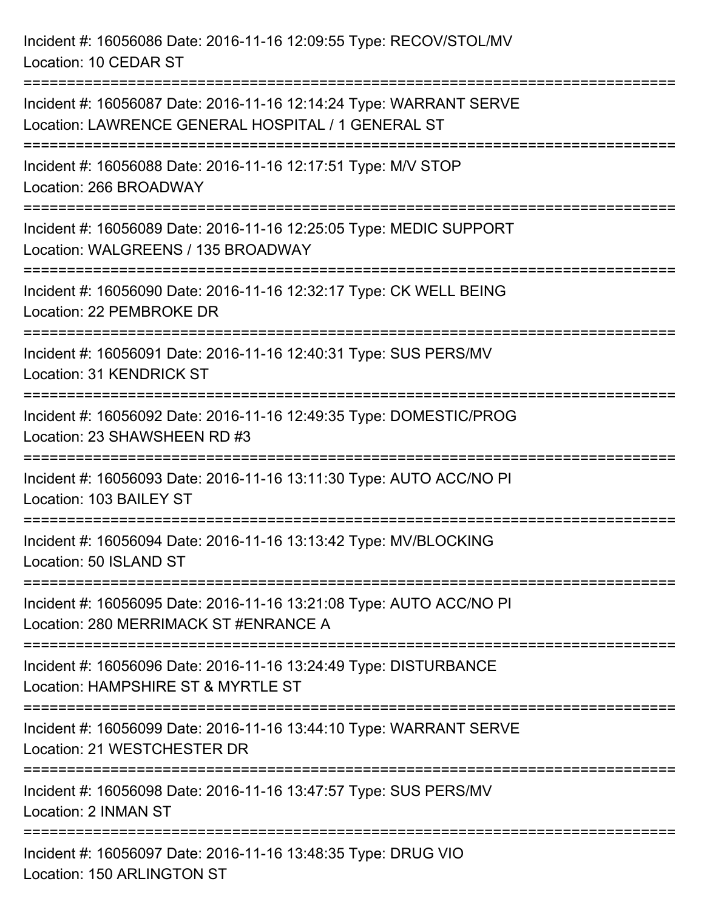Incident #: 16056086 Date: 2016-11-16 12:09:55 Type: RECOV/STOL/MV Location: 10 CEDAR ST =========================================================================== Incident #: 16056087 Date: 2016-11-16 12:14:24 Type: WARRANT SERVE Location: LAWRENCE GENERAL HOSPITAL / 1 GENERAL ST =========================================================================== Incident #: 16056088 Date: 2016-11-16 12:17:51 Type: M/V STOP Location: 266 BROADWAY =========================================================================== Incident #: 16056089 Date: 2016-11-16 12:25:05 Type: MEDIC SUPPORT Location: WALGREENS / 135 BROADWAY =========================================================================== Incident #: 16056090 Date: 2016-11-16 12:32:17 Type: CK WELL BEING Location: 22 PEMBROKE DR =========================================================================== Incident #: 16056091 Date: 2016-11-16 12:40:31 Type: SUS PERS/MV Location: 31 KENDRICK ST =========================================================================== Incident #: 16056092 Date: 2016-11-16 12:49:35 Type: DOMESTIC/PROG Location: 23 SHAWSHEEN RD #3 =========================================================================== Incident #: 16056093 Date: 2016-11-16 13:11:30 Type: AUTO ACC/NO PI Location: 103 BAILEY ST =========================================================================== Incident #: 16056094 Date: 2016-11-16 13:13:42 Type: MV/BLOCKING Location: 50 ISLAND ST =========================================================================== Incident #: 16056095 Date: 2016-11-16 13:21:08 Type: AUTO ACC/NO PI Location: 280 MERRIMACK ST #ENRANCE A =========================================================================== Incident #: 16056096 Date: 2016-11-16 13:24:49 Type: DISTURBANCE Location: HAMPSHIRE ST & MYRTLE ST =========================================================================== Incident #: 16056099 Date: 2016-11-16 13:44:10 Type: WARRANT SERVE Location: 21 WESTCHESTER DR =========================================================================== Incident #: 16056098 Date: 2016-11-16 13:47:57 Type: SUS PERS/MV Location: 2 INMAN ST =========================================================================== Incident #: 16056097 Date: 2016-11-16 13:48:35 Type: DRUG VIO Location: 150 ARLINGTON ST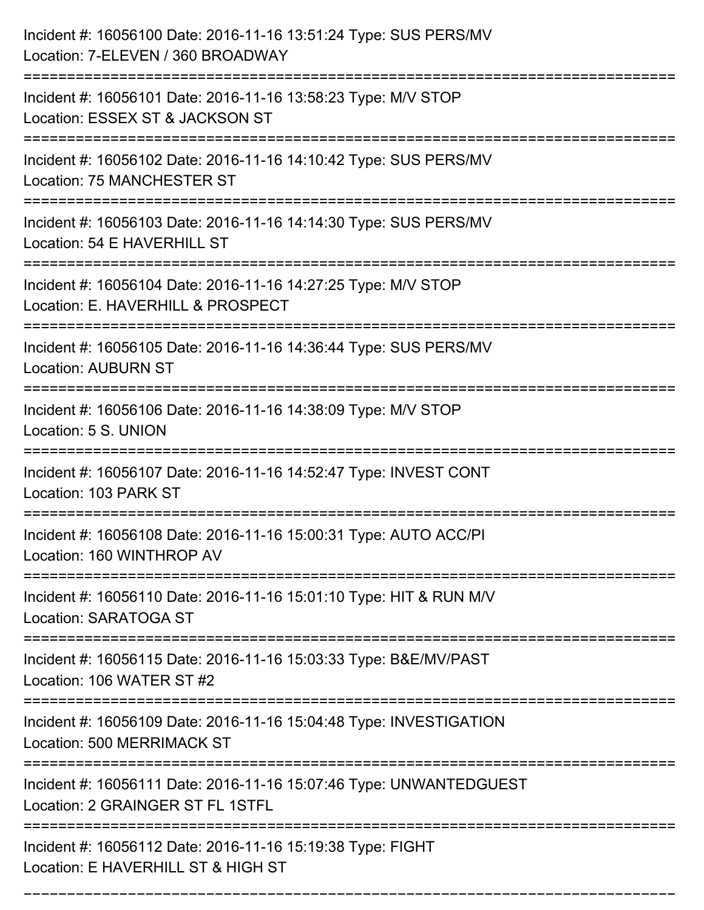| Incident #: 16056100 Date: 2016-11-16 13:51:24 Type: SUS PERS/MV<br>Location: 7-ELEVEN / 360 BROADWAY   |
|---------------------------------------------------------------------------------------------------------|
| Incident #: 16056101 Date: 2016-11-16 13:58:23 Type: M/V STOP<br>Location: ESSEX ST & JACKSON ST        |
| Incident #: 16056102 Date: 2016-11-16 14:10:42 Type: SUS PERS/MV<br>Location: 75 MANCHESTER ST          |
| Incident #: 16056103 Date: 2016-11-16 14:14:30 Type: SUS PERS/MV<br>Location: 54 E HAVERHILL ST         |
| Incident #: 16056104 Date: 2016-11-16 14:27:25 Type: M/V STOP<br>Location: E. HAVERHILL & PROSPECT      |
| Incident #: 16056105 Date: 2016-11-16 14:36:44 Type: SUS PERS/MV<br><b>Location: AUBURN ST</b>          |
| Incident #: 16056106 Date: 2016-11-16 14:38:09 Type: M/V STOP<br>Location: 5 S. UNION                   |
| Incident #: 16056107 Date: 2016-11-16 14:52:47 Type: INVEST CONT<br>Location: 103 PARK ST               |
| Incident #: 16056108 Date: 2016-11-16 15:00:31 Type: AUTO ACC/PI<br>Location: 160 WINTHROP AV           |
| Incident #: 16056110 Date: 2016-11-16 15:01:10 Type: HIT & RUN M/V<br>Location: SARATOGA ST             |
| Incident #: 16056115 Date: 2016-11-16 15:03:33 Type: B&E/MV/PAST<br>Location: 106 WATER ST #2           |
| Incident #: 16056109 Date: 2016-11-16 15:04:48 Type: INVESTIGATION<br><b>Location: 500 MERRIMACK ST</b> |
| Incident #: 16056111 Date: 2016-11-16 15:07:46 Type: UNWANTEDGUEST<br>Location: 2 GRAINGER ST FL 1STFL  |
| Incident #: 16056112 Date: 2016-11-16 15:19:38 Type: FIGHT<br>Location: E HAVERHILL ST & HIGH ST        |

===========================================================================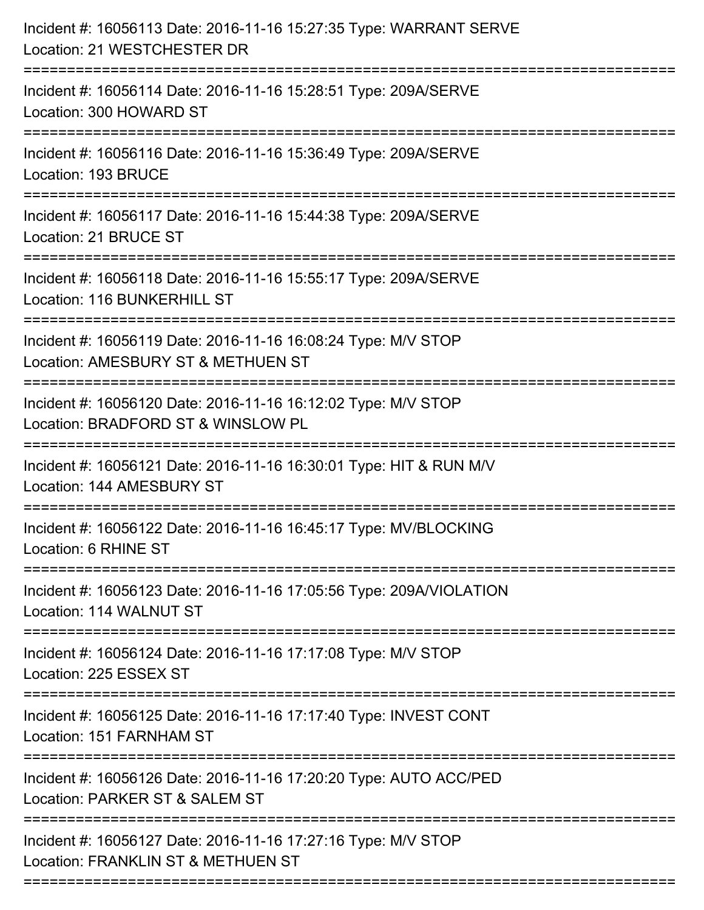| Incident #: 16056113 Date: 2016-11-16 15:27:35 Type: WARRANT SERVE<br>Location: 21 WESTCHESTER DR                                      |
|----------------------------------------------------------------------------------------------------------------------------------------|
| Incident #: 16056114 Date: 2016-11-16 15:28:51 Type: 209A/SERVE<br>Location: 300 HOWARD ST                                             |
| Incident #: 16056116 Date: 2016-11-16 15:36:49 Type: 209A/SERVE<br>Location: 193 BRUCE                                                 |
| Incident #: 16056117 Date: 2016-11-16 15:44:38 Type: 209A/SERVE<br>Location: 21 BRUCE ST                                               |
| Incident #: 16056118 Date: 2016-11-16 15:55:17 Type: 209A/SERVE<br>Location: 116 BUNKERHILL ST<br>:=============================       |
| Incident #: 16056119 Date: 2016-11-16 16:08:24 Type: M/V STOP<br>Location: AMESBURY ST & METHUEN ST                                    |
| Incident #: 16056120 Date: 2016-11-16 16:12:02 Type: M/V STOP<br>Location: BRADFORD ST & WINSLOW PL                                    |
| Incident #: 16056121 Date: 2016-11-16 16:30:01 Type: HIT & RUN M/V<br>Location: 144 AMESBURY ST                                        |
| Incident #: 16056122 Date: 2016-11-16 16:45:17 Type: MV/BLOCKING<br>Location: 6 RHINE ST                                               |
| Incident #: 16056123 Date: 2016-11-16 17:05:56 Type: 209A/VIOLATION<br>Location: 114 WALNUT ST                                         |
| Incident #: 16056124 Date: 2016-11-16 17:17:08 Type: M/V STOP<br>Location: 225 ESSEX ST                                                |
| Incident #: 16056125 Date: 2016-11-16 17:17:40 Type: INVEST CONT<br>Location: 151 FARNHAM ST                                           |
| ===============================<br>Incident #: 16056126 Date: 2016-11-16 17:20:20 Type: AUTO ACC/PED<br>Location: PARKER ST & SALEM ST |
| Incident #: 16056127 Date: 2016-11-16 17:27:16 Type: M/V STOP<br>Location: FRANKLIN ST & METHUEN ST                                    |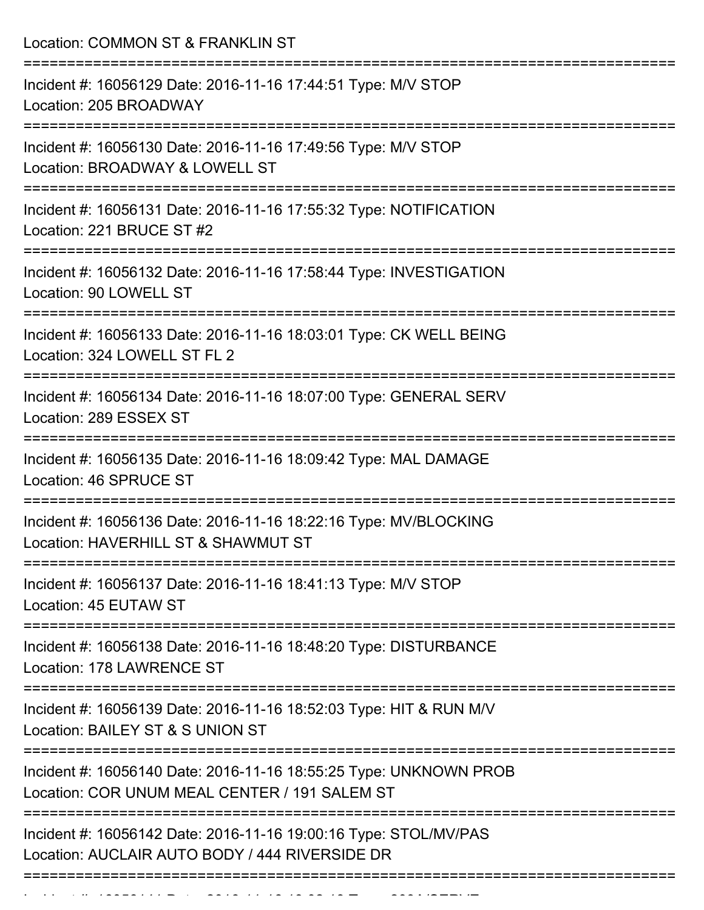Location: COMMON ST & FRANKLIN ST =========================================================================== Incident #: 16056129 Date: 2016-11-16 17:44:51 Type: M/V STOP Location: 205 BROADWAY =========================================================================== Incident #: 16056130 Date: 2016-11-16 17:49:56 Type: M/V STOP Location: BROADWAY & LOWELL ST =========================================================================== Incident #: 16056131 Date: 2016-11-16 17:55:32 Type: NOTIFICATION Location: 221 BRUCE ST #2 =========================================================================== Incident #: 16056132 Date: 2016-11-16 17:58:44 Type: INVESTIGATION Location: 90 LOWELL ST =========================================================================== Incident #: 16056133 Date: 2016-11-16 18:03:01 Type: CK WELL BEING Location: 324 LOWELL ST FL 2 =========================================================================== Incident #: 16056134 Date: 2016-11-16 18:07:00 Type: GENERAL SERV Location: 289 ESSEX ST =========================================================================== Incident #: 16056135 Date: 2016-11-16 18:09:42 Type: MAL DAMAGE Location: 46 SPRUCE ST =========================================================================== Incident #: 16056136 Date: 2016-11-16 18:22:16 Type: MV/BLOCKING Location: HAVERHILL ST & SHAWMUT ST =========================================================================== Incident #: 16056137 Date: 2016-11-16 18:41:13 Type: M/V STOP Location: 45 EUTAW ST =========================================================================== Incident #: 16056138 Date: 2016-11-16 18:48:20 Type: DISTURBANCE Location: 178 LAWRENCE ST =========================================================================== Incident #: 16056139 Date: 2016-11-16 18:52:03 Type: HIT & RUN M/V Location: BAILEY ST & S UNION ST =========================================================================== Incident #: 16056140 Date: 2016-11-16 18:55:25 Type: UNKNOWN PROB Location: COR UNUM MEAL CENTER / 191 SALEM ST =========================================================================== Incident #: 16056142 Date: 2016-11-16 19:00:16 Type: STOL/MV/PAS Location: AUCLAIR AUTO BODY / 444 RIVERSIDE DR ===========================================================================

Incident #: 16056141 Date: 2016 11 16 19:02:13 Type: 209A/SERVE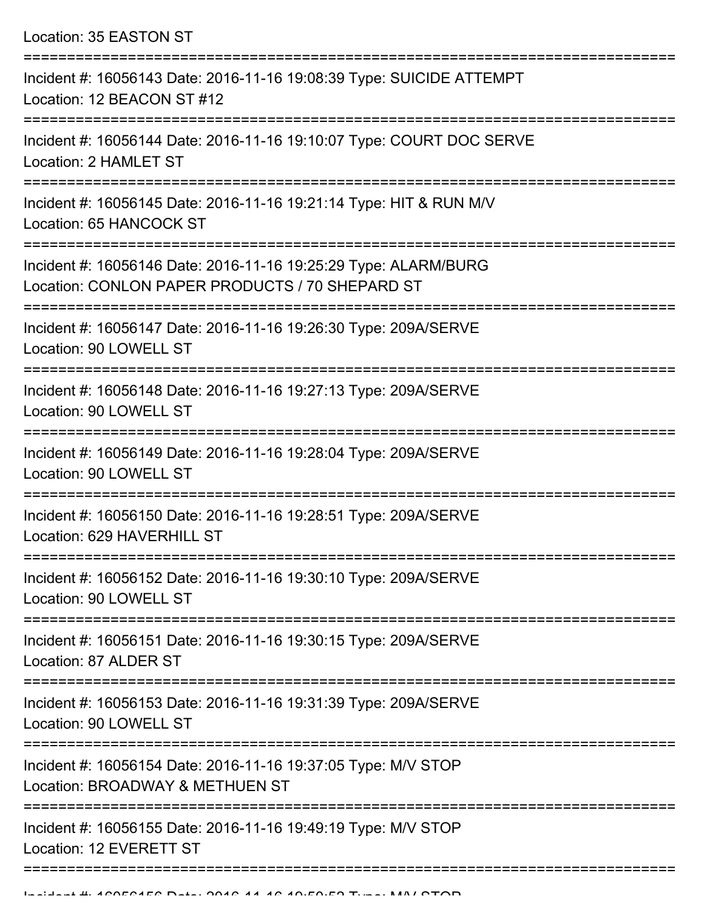Location: 35 EASTON ST =========================================================================== Incident #: 16056143 Date: 2016-11-16 19:08:39 Type: SUICIDE ATTEMPT Location: 12 BEACON ST #12 =========================================================================== Incident #: 16056144 Date: 2016-11-16 19:10:07 Type: COURT DOC SERVE Location: 2 HAMLET ST =========================================================================== Incident #: 16056145 Date: 2016-11-16 19:21:14 Type: HIT & RUN M/V Location: 65 HANCOCK ST =========================================================================== Incident #: 16056146 Date: 2016-11-16 19:25:29 Type: ALARM/BURG Location: CONLON PAPER PRODUCTS / 70 SHEPARD ST =========================================================================== Incident #: 16056147 Date: 2016-11-16 19:26:30 Type: 209A/SERVE Location: 90 LOWELL ST =========================================================================== Incident #: 16056148 Date: 2016-11-16 19:27:13 Type: 209A/SERVE Location: 90 LOWELL ST =========================================================================== Incident #: 16056149 Date: 2016-11-16 19:28:04 Type: 209A/SERVE Location: 90 LOWELL ST =========================================================================== Incident #: 16056150 Date: 2016-11-16 19:28:51 Type: 209A/SERVE Location: 629 HAVERHILL ST =========================================================================== Incident #: 16056152 Date: 2016-11-16 19:30:10 Type: 209A/SERVE Location: 90 LOWELL ST =========================================================================== Incident #: 16056151 Date: 2016-11-16 19:30:15 Type: 209A/SERVE Location: 87 ALDER ST =========================================================================== Incident #: 16056153 Date: 2016-11-16 19:31:39 Type: 209A/SERVE Location: 90 LOWELL ST =========================================================================== Incident #: 16056154 Date: 2016-11-16 19:37:05 Type: M/V STOP Location: BROADWAY & METHUEN ST =========================================================================== Incident #: 16056155 Date: 2016-11-16 19:49:19 Type: M/V STOP

Location: 12 EVERETT ST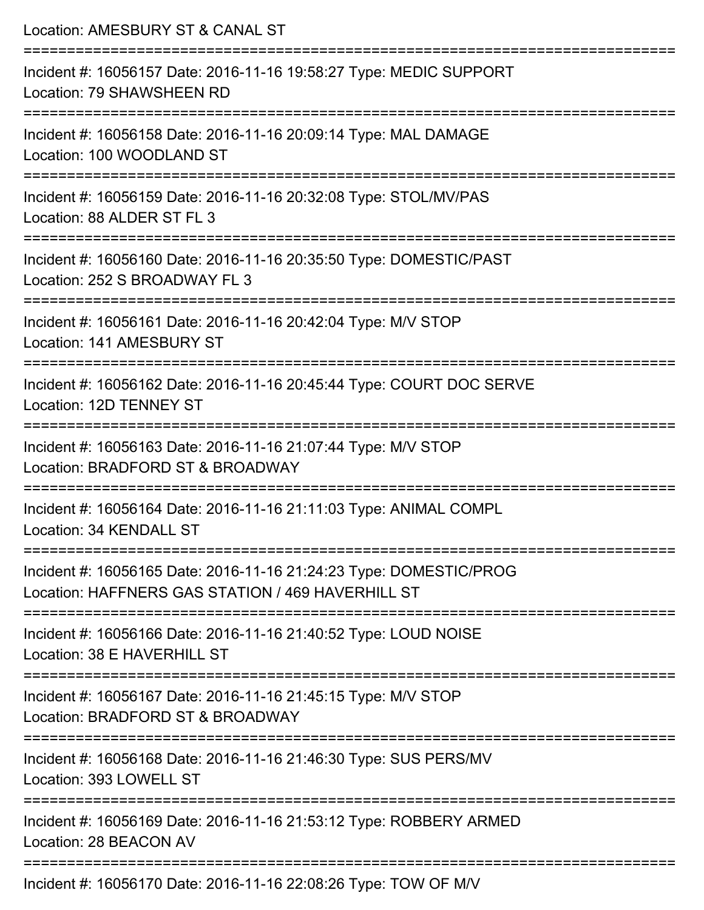| Location: AMESBURY ST & CANAL ST                                                                                        |
|-------------------------------------------------------------------------------------------------------------------------|
| Incident #: 16056157 Date: 2016-11-16 19:58:27 Type: MEDIC SUPPORT<br>Location: 79 SHAWSHEEN RD                         |
| Incident #: 16056158 Date: 2016-11-16 20:09:14 Type: MAL DAMAGE<br>Location: 100 WOODLAND ST                            |
| Incident #: 16056159 Date: 2016-11-16 20:32:08 Type: STOL/MV/PAS<br>Location: 88 ALDER ST FL 3                          |
| Incident #: 16056160 Date: 2016-11-16 20:35:50 Type: DOMESTIC/PAST<br>Location: 252 S BROADWAY FL 3                     |
| Incident #: 16056161 Date: 2016-11-16 20:42:04 Type: M/V STOP<br>Location: 141 AMESBURY ST                              |
| Incident #: 16056162 Date: 2016-11-16 20:45:44 Type: COURT DOC SERVE<br>Location: 12D TENNEY ST                         |
| Incident #: 16056163 Date: 2016-11-16 21:07:44 Type: M/V STOP<br>Location: BRADFORD ST & BROADWAY                       |
| Incident #: 16056164 Date: 2016-11-16 21:11:03 Type: ANIMAL COMPL<br>Location: 34 KENDALL ST                            |
| Incident #: 16056165 Date: 2016-11-16 21:24:23 Type: DOMESTIC/PROG<br>Location: HAFFNERS GAS STATION / 469 HAVERHILL ST |
| Incident #: 16056166 Date: 2016-11-16 21:40:52 Type: LOUD NOISE<br>Location: 38 E HAVERHILL ST                          |
| Incident #: 16056167 Date: 2016-11-16 21:45:15 Type: M/V STOP<br>Location: BRADFORD ST & BROADWAY                       |
| Incident #: 16056168 Date: 2016-11-16 21:46:30 Type: SUS PERS/MV<br>Location: 393 LOWELL ST                             |
| Incident #: 16056169 Date: 2016-11-16 21:53:12 Type: ROBBERY ARMED<br>Location: 28 BEACON AV                            |
| -------------------------<br>Incident #: 16056170 Date: 2016-11-16 22:08:26 Type: TOW OF M/V                            |